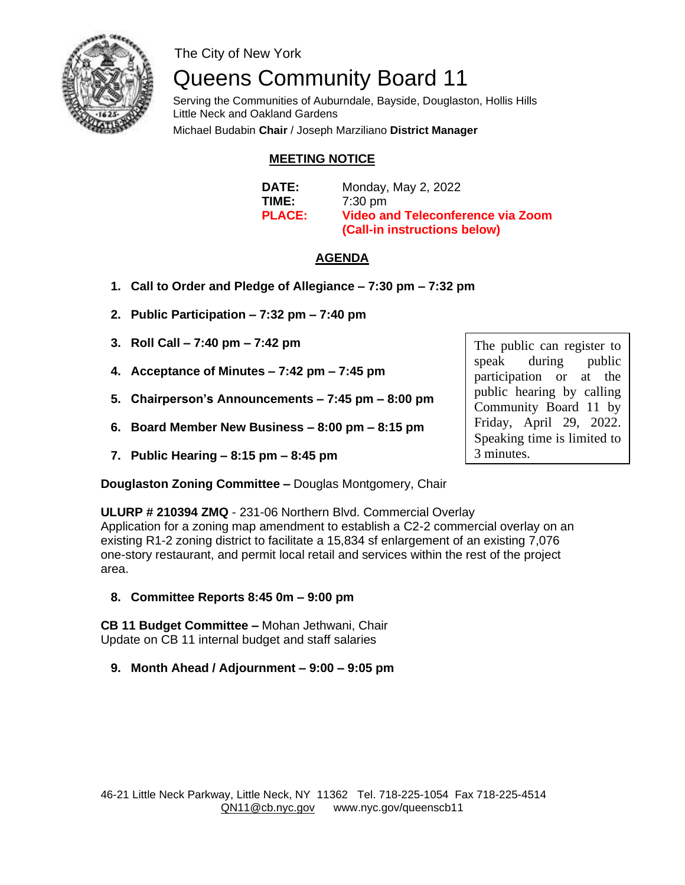

The City of New York

# Queens Community Board 11

 Serving the Communities of Auburndale, Bayside, Douglaston, Hollis Hills Little Neck and Oakland Gardens Michael Budabin **Chair** / Joseph Marziliano **District Manager** 

#### **MEETING NOTICE**

| <b>DATE:</b>  | Monday, May 2, 2022                      |
|---------------|------------------------------------------|
| TIME:         | $7:30 \text{ pm}$                        |
| <b>PLACE:</b> | <b>Video and Teleconference via Zoom</b> |
|               | (Call-in instructions below)             |

#### **AGENDA**

- **1. Call to Order and Pledge of Allegiance – 7:30 pm – 7:32 pm**
- **2. Public Participation – 7:32 pm – 7:40 pm**
- **3. Roll Call – 7:40 pm – 7:42 pm**
- **4. Acceptance of Minutes – 7:42 pm – 7:45 pm**
- **5. Chairperson's Announcements – 7:45 pm – 8:00 pm**
- **6. Board Member New Business – 8:00 pm – 8:15 pm**
- **7. Public Hearing – 8:15 pm – 8:45 pm**

**Douglaston Zoning Committee –** Douglas Montgomery, Chair

The public can register to speak during public participation or at the public hearing by calling Community Board 11 by Friday, April 29, 2022. Speaking time is limited to 3 minutes.

**ULURP # 210394 ZMQ** - 231-06 Northern Blvd. Commercial Overlay Application for a zoning map amendment to establish a C2-2 commercial overlay on an existing R1-2 zoning district to facilitate a 15,834 sf enlargement of an existing 7,076 one-story restaurant, and permit local retail and services within the rest of the project area.

**8. Committee Reports 8:45 0m – 9:00 pm**

**CB 11 Budget Committee –** Mohan Jethwani, Chair Update on CB 11 internal budget and staff salaries

**9. Month Ahead / Adjournment – 9:00 – 9:05 pm**